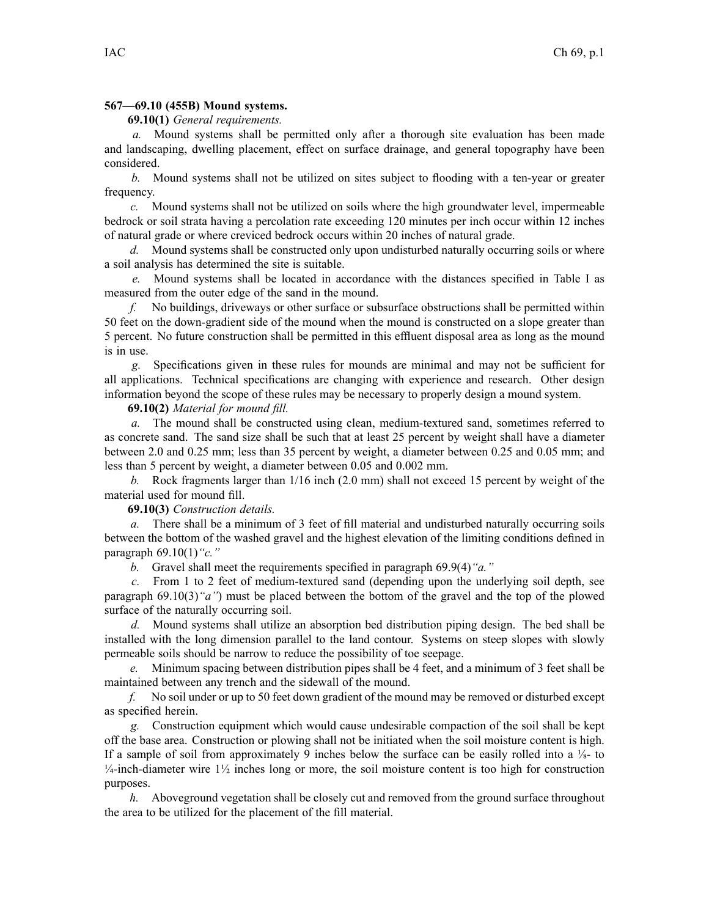## **567—69.10 (455B) Mound systems.**

## **69.10(1)** *General requirements.*

*a.* Mound systems shall be permitted only after <sup>a</sup> thorough site evaluation has been made and landscaping, dwelling placement, effect on surface drainage, and general topography have been considered.

*b.* Mound systems shall not be utilized on sites subject to flooding with <sup>a</sup> ten-year or greater frequency.

*c.* Mound systems shall not be utilized on soils where the high groundwater level, impermeable bedrock or soil strata having <sup>a</sup> percolation rate exceeding 120 minutes per inch occur within 12 inches of natural grade or where creviced bedrock occurs within 20 inches of natural grade.

*d.* Mound systems shall be constructed only upon undisturbed naturally occurring soils or where <sup>a</sup> soil analysis has determined the site is suitable.

*e.* Mound systems shall be located in accordance with the distances specified in Table I as measured from the outer edge of the sand in the mound.

*f.* No buildings, driveways or other surface or subsurface obstructions shall be permitted within 50 feet on the down-gradient side of the mound when the mound is constructed on <sup>a</sup> slope greater than 5 percent. No future construction shall be permitted in this effluent disposal area as long as the mound is in use.

*g.* Specifications given in these rules for mounds are minimal and may not be sufficient for all applications. Technical specifications are changing with experience and research. Other design information beyond the scope of these rules may be necessary to properly design <sup>a</sup> mound system.

## **69.10(2)** *Material for mound fill.*

*a.* The mound shall be constructed using clean, medium-textured sand, sometimes referred to as concrete sand. The sand size shall be such that at least 25 percen<sup>t</sup> by weight shall have <sup>a</sup> diameter between 2.0 and 0.25 mm; less than 35 percen<sup>t</sup> by weight, <sup>a</sup> diameter between 0.25 and 0.05 mm; and less than 5 percen<sup>t</sup> by weight, <sup>a</sup> diameter between 0.05 and 0.002 mm.

*b.* Rock fragments larger than 1/16 inch (2.0 mm) shall not exceed 15 percen<sup>t</sup> by weight of the material used for mound fill.

**69.10(3)** *Construction details.*

*a.* There shall be <sup>a</sup> minimum of 3 feet of fill material and undisturbed naturally occurring soils between the bottom of the washed gravel and the highest elevation of the limiting conditions defined in paragraph 69.10(1)*"c."*

*b.* Gravel shall meet the requirements specified in paragraph 69.9(4)*"a."*

*c.* From 1 to 2 feet of medium-textured sand (depending upon the underlying soil depth, see paragraph 69.10(3)*"a"*) must be placed between the bottom of the gravel and the top of the plowed surface of the naturally occurring soil.

*d.* Mound systems shall utilize an absorption bed distribution piping design. The bed shall be installed with the long dimension parallel to the land contour. Systems on steep slopes with slowly permeable soils should be narrow to reduce the possibility of toe seepage.

*e.* Minimum spacing between distribution pipes shall be 4 feet, and <sup>a</sup> minimum of 3 feet shall be maintained between any trench and the sidewall of the mound.

*f.* No soil under or up to 50 feet down gradient of the mound may be removed or disturbed excep<sup>t</sup> as specified herein.

*g.* Construction equipment which would cause undesirable compaction of the soil shall be kept off the base area. Construction or plowing shall not be initiated when the soil moisture content is high. If a sample of soil from approximately 9 inches below the surface can be easily rolled into a  $\frac{1}{8}$ - to  $\frac{1}{4}$ -inch-diameter wire  $\frac{1}{2}$  inches long or more, the soil moisture content is too high for construction purposes.

*h.* Aboveground vegetation shall be closely cut and removed from the ground surface throughout the area to be utilized for the placement of the fill material.